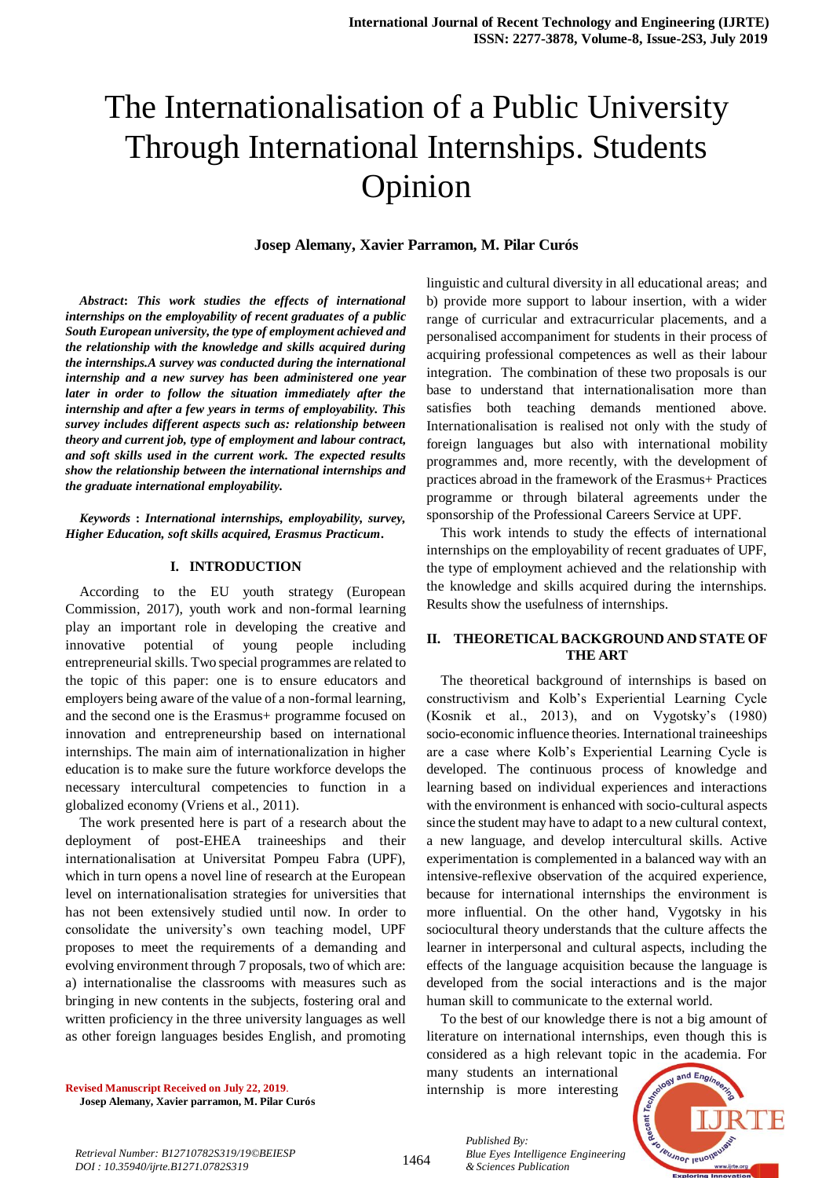# The Internationalisation of a Public University Through International Internships. Students Opinion

# **Josep Alemany, Xavier Parramon, M. Pilar Curós**

*Abstract***:** *This work studies the effects of international internships on the employability of recent graduates of a public South European university, the type of employment achieved and the relationship with the knowledge and skills acquired during the internships.A survey was conducted during the international internship and a new survey has been administered one year later in order to follow the situation immediately after the internship and after a few years in terms of employability. This survey includes different aspects such as: relationship between theory and current job, type of employment and labour contract, and soft skills used in the current work. The expected results show the relationship between the international internships and the graduate international employability.*

*Keywords* **:** *International internships, employability, survey, Higher Education, soft skills acquired, Erasmus Practicum.* 

# **I. INTRODUCTION**

According to the EU youth strategy (European Commission, 2017), youth work and non-formal learning play an important role in developing the creative and innovative potential of young people including entrepreneurial skills. Two special programmes are related to the topic of this paper: one is to ensure educators and employers being aware of the value of a non-formal learning, and the second one is the Erasmus+ programme focused on innovation and entrepreneurship based on international internships. The main aim of internationalization in higher education is to make sure the future workforce develops the necessary intercultural competencies to function in a globalized economy (Vriens et al., 2011).

The work presented here is part of a research about the deployment of post-EHEA traineeships and their internationalisation at Universitat Pompeu Fabra (UPF), which in turn opens a novel line of research at the European level on internationalisation strategies for universities that has not been extensively studied until now. In order to consolidate the university's own teaching model, UPF proposes to meet the requirements of a demanding and evolving environment through 7 proposals, two of which are: a) internationalise the classrooms with measures such as bringing in new contents in the subjects, fostering oral and written proficiency in the three university languages as well as other foreign languages besides English, and promoting linguistic and cultural diversity in all educational areas; and b) provide more support to labour insertion, with a wider range of curricular and extracurricular placements, and a personalised accompaniment for students in their process of acquiring professional competences as well as their labour integration. The combination of these two proposals is our base to understand that internationalisation more than satisfies both teaching demands mentioned above. Internationalisation is realised not only with the study of foreign languages but also with international mobility programmes and, more recently, with the development of practices abroad in the framework of the Erasmus+ Practices programme or through bilateral agreements under the sponsorship of the Professional Careers Service at UPF.

This work intends to study the effects of international internships on the employability of recent graduates of UPF, the type of employment achieved and the relationship with the knowledge and skills acquired during the internships. Results show the usefulness of internships.

# **II. THEORETICAL BACKGROUND AND STATE OF THE ART**

The theoretical background of internships is based on constructivism and Kolb's Experiential Learning Cycle (Kosnik et al., 2013), and on Vygotsky's (1980) socio-economic influence theories. International traineeships are a case where Kolb's Experiential Learning Cycle is developed. The continuous process of knowledge and learning based on individual experiences and interactions with the environment is enhanced with socio-cultural aspects since the student may have to adapt to a new cultural context, a new language, and develop intercultural skills. Active experimentation is complemented in a balanced way with an intensive-reflexive observation of the acquired experience, because for international internships the environment is more influential. On the other hand, Vygotsky in his sociocultural theory understands that the culture affects the learner in interpersonal and cultural aspects, including the effects of the language acquisition because the language is developed from the social interactions and is the major human skill to communicate to the external world.

To the best of our knowledge there is not a big amount of literature on international internships, even though this is considered as a high relevant topic in the academia. For

many students an international internship is more interesting



**Revised Manuscript Received on July 22, 2019**. **Josep Alemany, Xavier parramon, M. Pilar Curós**

*Retrieval Number: B12710782S319/19©BEIESP DOI : 10.35940/ijrte.B1271.0782S319*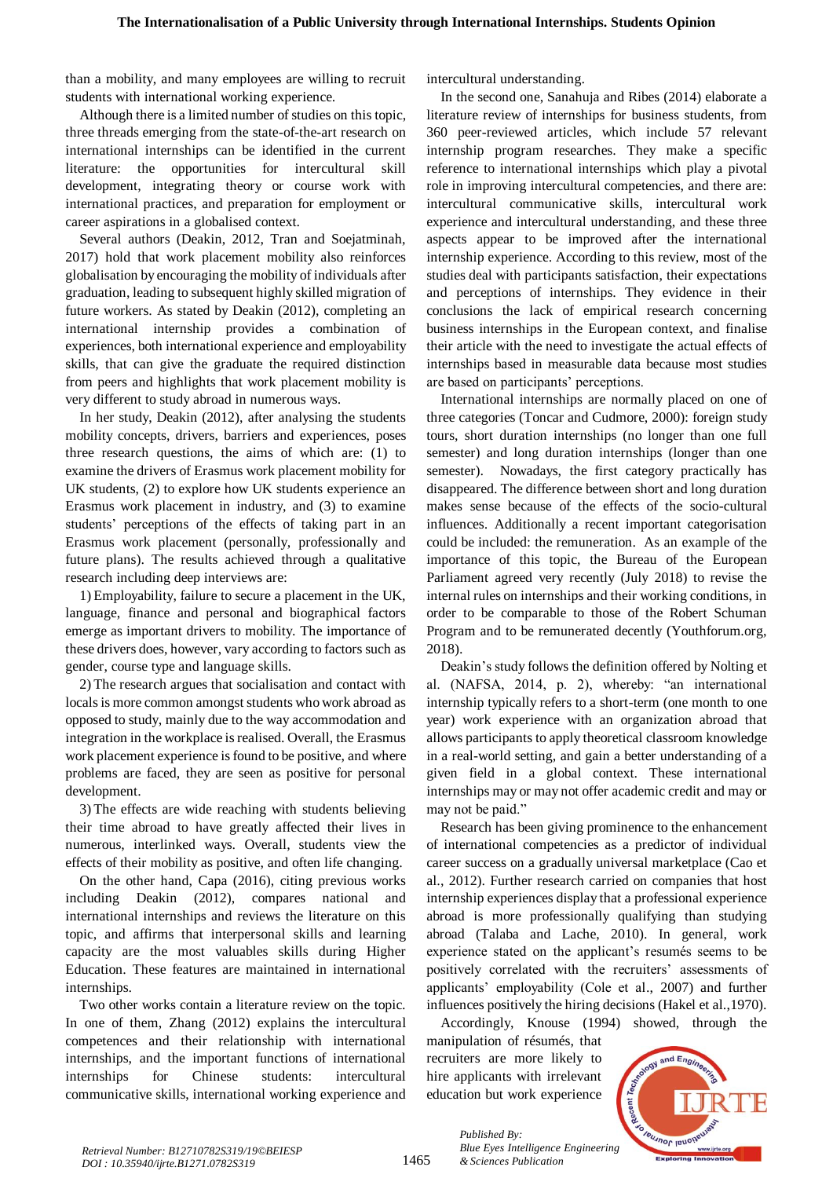than a mobility, and many employees are willing to recruit students with international working experience.

Although there is a limited number of studies on this topic, three threads emerging from the state-of-the-art research on international internships can be identified in the current literature: the opportunities for intercultural skill development, integrating theory or course work with international practices, and preparation for employment or career aspirations in a globalised context.

Several authors (Deakin, 2012, Tran and Soejatminah, 2017) hold that work placement mobility also reinforces globalisation by encouraging the mobility of individuals after graduation, leading to subsequent highly skilled migration of future workers. As stated by Deakin (2012), completing an international internship provides a combination of experiences, both international experience and employability skills, that can give the graduate the required distinction from peers and highlights that work placement mobility is very different to study abroad in numerous ways.

In her study, Deakin (2012), after analysing the students mobility concepts, drivers, barriers and experiences, poses three research questions, the aims of which are: (1) to examine the drivers of Erasmus work placement mobility for UK students, (2) to explore how UK students experience an Erasmus work placement in industry, and (3) to examine students' perceptions of the effects of taking part in an Erasmus work placement (personally, professionally and future plans). The results achieved through a qualitative research including deep interviews are:

1) Employability, failure to secure a placement in the UK, language, finance and personal and biographical factors emerge as important drivers to mobility. The importance of these drivers does, however, vary according to factors such as gender, course type and language skills.

2) The research argues that socialisation and contact with locals is more common amongst students who work abroad as opposed to study, mainly due to the way accommodation and integration in the workplace is realised. Overall, the Erasmus work placement experience is found to be positive, and where problems are faced, they are seen as positive for personal development.

3) The effects are wide reaching with students believing their time abroad to have greatly affected their lives in numerous, interlinked ways. Overall, students view the effects of their mobility as positive, and often life changing.

On the other hand, Capa (2016), citing previous works including Deakin (2012), compares national and international internships and reviews the literature on this topic, and affirms that interpersonal skills and learning capacity are the most valuables skills during Higher Education. These features are maintained in international internships.

Two other works contain a literature review on the topic. In one of them, Zhang (2012) explains the intercultural competences and their relationship with international internships, and the important functions of international internships for Chinese students: intercultural communicative skills, international working experience and intercultural understanding.

In the second one, Sanahuja and Ribes (2014) elaborate a literature review of internships for business students, from 360 peer-reviewed articles, which include 57 relevant internship program researches. They make a specific reference to international internships which play a pivotal role in improving intercultural competencies, and there are: intercultural communicative skills, intercultural work experience and intercultural understanding, and these three aspects appear to be improved after the international internship experience. According to this review, most of the studies deal with participants satisfaction, their expectations and perceptions of internships. They evidence in their conclusions the lack of empirical research concerning business internships in the European context, and finalise their article with the need to investigate the actual effects of internships based in measurable data because most studies are based on participants' perceptions.

International internships are normally placed on one of three categories (Toncar and Cudmore, 2000): foreign study tours, short duration internships (no longer than one full semester) and long duration internships (longer than one semester). Nowadays, the first category practically has disappeared. The difference between short and long duration makes sense because of the effects of the socio-cultural influences. Additionally a recent important categorisation could be included: the remuneration. As an example of the importance of this topic, the Bureau of the European Parliament agreed very recently (July 2018) to revise the internal rules on internships and their working conditions, in order to be comparable to those of the Robert Schuman Program and to be remunerated decently (Youthforum.org, 2018).

Deakin's study follows the definition offered by Nolting et al. (NAFSA, 2014, p. 2), whereby: "an international internship typically refers to a short-term (one month to one year) work experience with an organization abroad that allows participants to apply theoretical classroom knowledge in a real-world setting, and gain a better understanding of a given field in a global context. These international internships may or may not offer academic credit and may or may not be paid."

Research has been giving prominence to the enhancement of international competencies as a predictor of individual career success on a gradually universal marketplace (Cao et al., 2012). Further research carried on companies that host internship experiences display that a professional experience abroad is more professionally qualifying than studying abroad (Talaba and Lache, 2010). In general, work experience stated on the applicant's resumés seems to be positively correlated with the recruiters' assessments of applicants' employability (Cole et al., 2007) and further influences positively the hiring decisions (Hakel et al.,1970).

Accordingly, Knouse (1994) showed, through the manipulation of résumés, that recruiters are more likely to hire applicants with irrelevant education but work experience

*Blue Eyes Intelligence Engineering* 

*Published By:*

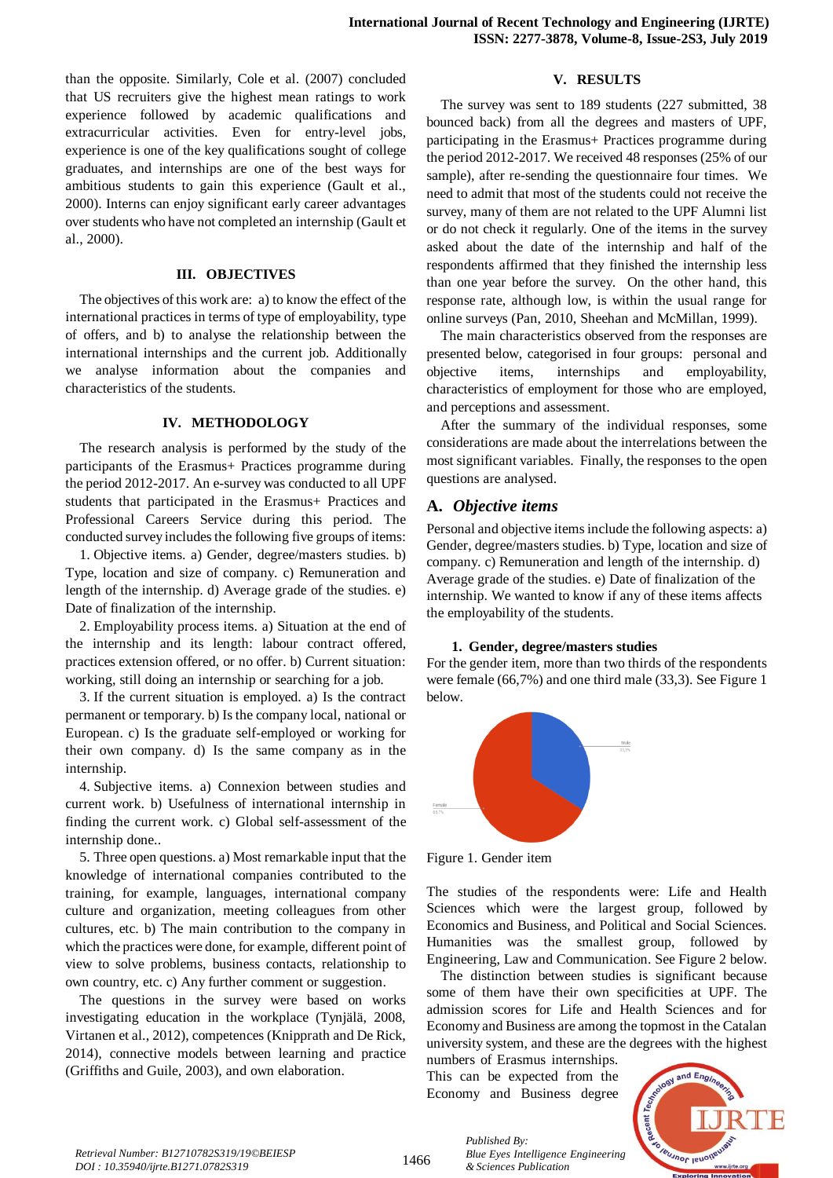than the opposite. Similarly, Cole et al. (2007) concluded that US recruiters give the highest mean ratings to work experience followed by academic qualifications and extracurricular activities. Even for entry-level jobs, experience is one of the key qualifications sought of college graduates, and internships are one of the best ways for ambitious students to gain this experience (Gault et al., 2000). Interns can enjoy significant early career advantages over students who have not completed an internship (Gault et al., 2000).

#### **III. OBJECTIVES**

The objectives of this work are: a) to know the effect of the international practices in terms of type of employability, type of offers, and b) to analyse the relationship between the international internships and the current job. Additionally we analyse information about the companies and characteristics of the students.

#### **IV. METHODOLOGY**

The research analysis is performed by the study of the participants of the Erasmus+ Practices programme during the period 2012-2017. An e-survey was conducted to all UPF students that participated in the Erasmus+ Practices and Professional Careers Service during this period. The conducted survey includes the following five groups of items:

1. Objective items. a) Gender, degree/masters studies. b) Type, location and size of company. c) Remuneration and length of the internship. d) Average grade of the studies. e) Date of finalization of the internship.

2. Employability process items. a) Situation at the end of the internship and its length: labour contract offered, practices extension offered, or no offer. b) Current situation: working, still doing an internship or searching for a job.

3. If the current situation is employed. a) Is the contract permanent or temporary. b) Is the company local, national or European. c) Is the graduate self-employed or working for their own company. d) Is the same company as in the internship.

4. Subjective items. a) Connexion between studies and current work. b) Usefulness of international internship in finding the current work. c) Global self-assessment of the internship done..

5. Three open questions. a) Most remarkable input that the knowledge of international companies contributed to the training, for example, languages, international company culture and organization, meeting colleagues from other cultures, etc. b) The main contribution to the company in which the practices were done, for example, different point of view to solve problems, business contacts, relationship to own country, etc. c) Any further comment or suggestion.

The questions in the survey were based on works investigating education in the workplace (Tynjälä, 2008, Virtanen et al., 2012), competences (Knipprath and De Rick, 2014), connective models between learning and practice (Griffiths and Guile, 2003), and own elaboration.

#### **V. RESULTS**

The survey was sent to 189 students (227 submitted, 38 bounced back) from all the degrees and masters of UPF, participating in the Erasmus+ Practices programme during the period 2012-2017. We received 48 responses (25% of our sample), after re-sending the questionnaire four times. We need to admit that most of the students could not receive the survey, many of them are not related to the UPF Alumni list or do not check it regularly. One of the items in the survey asked about the date of the internship and half of the respondents affirmed that they finished the internship less than one year before the survey. On the other hand, this response rate, although low, is within the usual range for online surveys (Pan, 2010, Sheehan and McMillan, 1999).

The main characteristics observed from the responses are presented below, categorised in four groups: personal and objective items, internships and employability, characteristics of employment for those who are employed, and perceptions and assessment.

After the summary of the individual responses, some considerations are made about the interrelations between the most significant variables. Finally, the responses to the open questions are analysed.

# **A.** *Objective items*

Personal and objective items include the following aspects: a) Gender, degree/masters studies. b) Type, location and size of company. c) Remuneration and length of the internship. d) Average grade of the studies. e) Date of finalization of the internship. We wanted to know if any of these items affects the employability of the students.

#### **1. Gender, degree/masters studies**

For the gender item, more than two thirds of the respondents were female (66,7%) and one third male (33,3). See Figure 1 below.



Figure 1. Gender item

The studies of the respondents were: Life and Health Sciences which were the largest group, followed by Economics and Business, and Political and Social Sciences. Humanities was the smallest group, followed by Engineering, Law and Communication. See Figure 2 below.

The distinction between studies is significant because some of them have their own specificities at UPF. The admission scores for Life and Health Sciences and for Economy and Business are among the topmost in the Catalan university system, and these are the degrees with the highest

numbers of Erasmus internships. This can be expected from the Economy and Business degree

*& Sciences Publication* 

*Published By:*



1466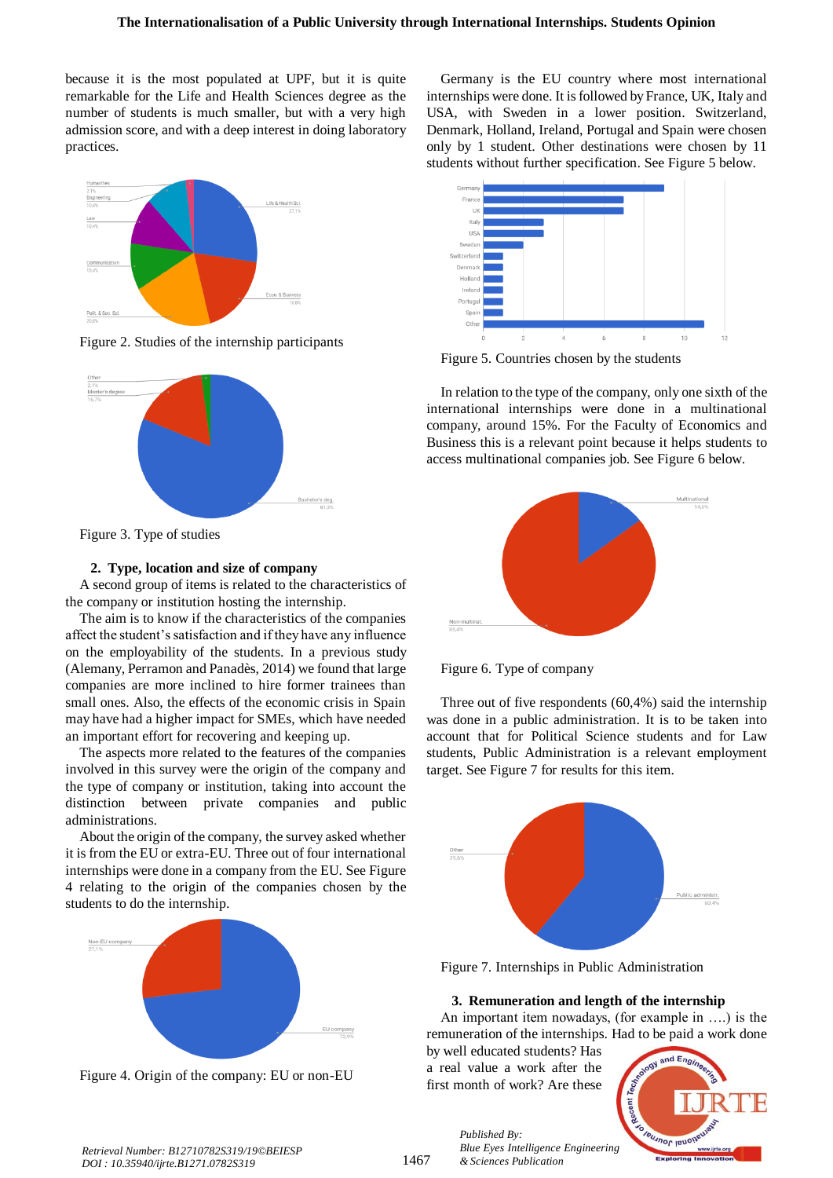because it is the most populated at UPF, but it is quite remarkable for the Life and Health Sciences degree as the number of students is much smaller, but with a very high admission score, and with a deep interest in doing laboratory practices.



Figure 2. Studies of the internship participants



Figure 3. Type of studies

## **2. Type, location and size of company**

A second group of items is related to the characteristics of the company or institution hosting the internship.

The aim is to know if the characteristics of the companies affect the student's satisfaction and if they have any influence on the employability of the students. In a previous study (Alemany, Perramon and Panadès, 2014) we found that large companies are more inclined to hire former trainees than small ones. Also, the effects of the economic crisis in Spain may have had a higher impact for SMEs, which have needed an important effort for recovering and keeping up.

The aspects more related to the features of the companies involved in this survey were the origin of the company and the type of company or institution, taking into account the distinction between private companies and public administrations.

About the origin of the company, the survey asked whether it is from the EU or extra-EU. Three out of four international internships were done in a company from the EU. See Figure 4 relating to the origin of the companies chosen by the students to do the internship.



Figure 4. Origin of the company: EU or non-EU

Germany is the EU country where most international internships were done. It is followed by France, UK, Italy and USA, with Sweden in a lower position. Switzerland, Denmark, Holland, Ireland, Portugal and Spain were chosen only by 1 student. Other destinations were chosen by 11 students without further specification. See Figure 5 below.



Figure 5. Countries chosen by the students

In relation to the type of the company, only one sixth of the international internships were done in a multinational company, around 15%. For the Faculty of Economics and Business this is a relevant point because it helps students to access multinational companies job. See Figure 6 below.





Three out of five respondents (60,4%) said the internship was done in a public administration. It is to be taken into account that for Political Science students and for Law students, Public Administration is a relevant employment target. See Figure 7 for results for this item.



Figure 7. Internships in Public Administration

## **3. Remuneration and length of the internship**

An important item nowadays, (for example in ….) is the remuneration of the internships. Had to be paid a work done

by well educated students? Has a real value a work after the first month of work? Are these

*Published By:*

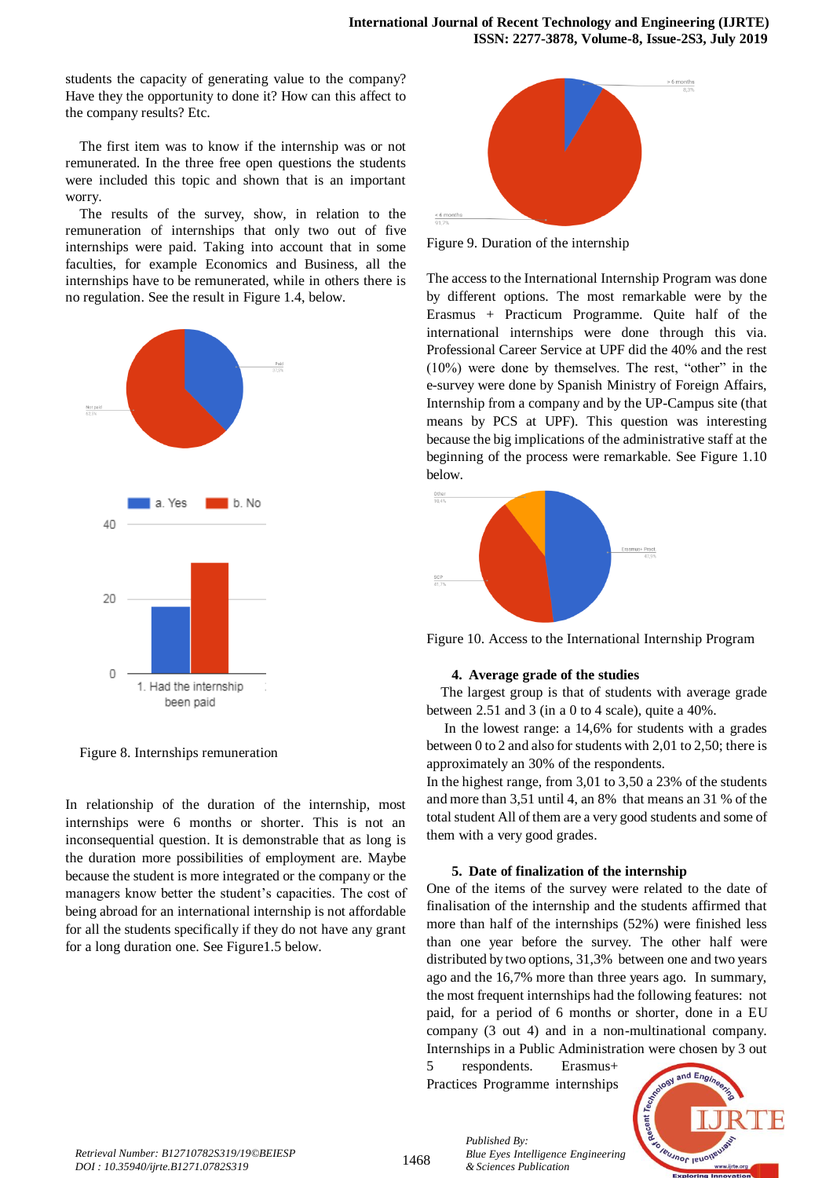students the capacity of generating value to the company? Have they the opportunity to done it? How can this affect to the company results? Etc.

The first item was to know if the internship was or not remunerated. In the three free open questions the students were included this topic and shown that is an important worry.

The results of the survey, show, in relation to the remuneration of internships that only two out of five internships were paid. Taking into account that in some faculties, for example Economics and Business, all the internships have to be remunerated, while in others there is no regulation. See the result in Figure 1.4, below.



Figure 8. Internships remuneration

In relationship of the duration of the internship, most internships were 6 months or shorter. This is not an inconsequential question. It is demonstrable that as long is the duration more possibilities of employment are. Maybe because the student is more integrated or the company or the managers know better the student's capacities. The cost of being abroad for an international internship is not affordable for all the students specifically if they do not have any grant for a long duration one. See Figure1.5 below.



Figure 9. Duration of the internship

The access to the International Internship Program was done by different options. The most remarkable were by the Erasmus + Practicum Programme. Quite half of the international internships were done through this via. Professional Career Service at UPF did the 40% and the rest (10%) were done by themselves. The rest, "other" in the e-survey were done by Spanish Ministry of Foreign Affairs, Internship from a company and by the UP-Campus site (that means by PCS at UPF). This question was interesting because the big implications of the administrative staff at the beginning of the process were remarkable. See Figure 1.10 below.



Figure 10. Access to the International Internship Program

#### **4. Average grade of the studies**

The largest group is that of students with average grade between 2.51 and 3 (in a 0 to 4 scale), quite a 40%.

In the lowest range: a 14,6% for students with a grades between 0 to 2 and also for students with 2,01 to 2,50; there is approximately an 30% of the respondents.

In the highest range, from 3,01 to 3,50 a 23% of the students and more than 3,51 until 4, an 8% that means an 31 % of the total student All of them are a very good students and some of them with a very good grades.

#### **5. Date of finalization of the internship**

One of the items of the survey were related to the date of finalisation of the internship and the students affirmed that more than half of the internships (52%) were finished less than one year before the survey. The other half were distributed by two options, 31,3% between one and two years ago and the 16,7% more than three years ago. In summary, the most frequent internships had the following features: not paid, for a period of 6 months or shorter, done in a EU company (3 out 4) and in a non-multinational company. Internships in a Public Administration were chosen by 3 out

5 respondents. Erasmus+ Practices Programme internships

*& Sciences Publication* 

*Blue Eyes Intelligence Engineering* 

*Published By:*

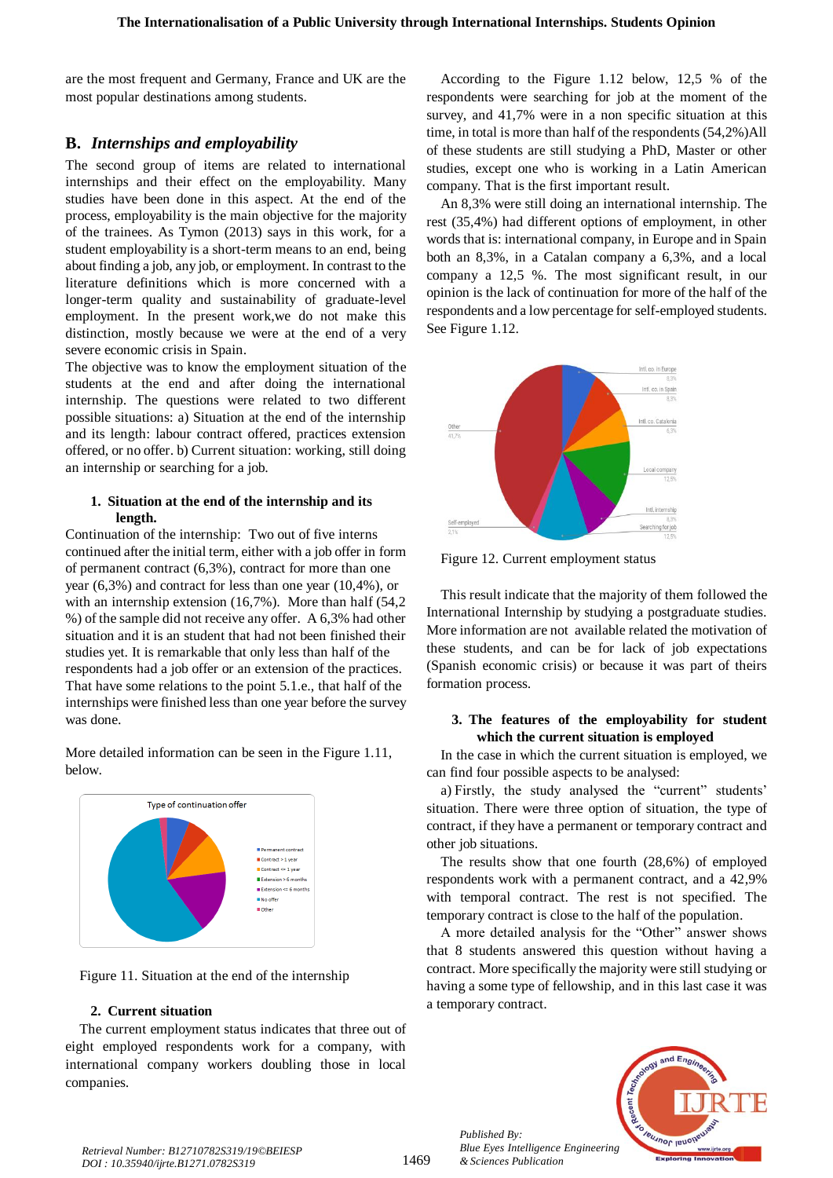are the most frequent and Germany, France and UK are the most popular destinations among students.

# **B.** *Internships and employability*

The second group of items are related to international internships and their effect on the employability. Many studies have been done in this aspect. At the end of the process, employability is the main objective for the majority of the trainees. As Tymon (2013) says in this work, for a student employability is a short-term means to an end, being about finding a job, any job, or employment. In contrast to the literature definitions which is more concerned with a longer-term quality and sustainability of graduate-level employment. In the present work,we do not make this distinction, mostly because we were at the end of a very severe economic crisis in Spain.

The objective was to know the employment situation of the students at the end and after doing the international internship. The questions were related to two different possible situations: a) Situation at the end of the internship and its length: labour contract offered, practices extension offered, or no offer. b) Current situation: working, still doing an internship or searching for a job.

# **1. Situation at the end of the internship and its length.**

Continuation of the internship: Two out of five interns continued after the initial term, either with a job offer in form of permanent contract (6,3%), contract for more than one year (6,3%) and contract for less than one year (10,4%), or with an internship extension (16,7%). More than half (54,2) %) of the sample did not receive any offer. A 6,3% had other situation and it is an student that had not been finished their studies yet. It is remarkable that only less than half of the respondents had a job offer or an extension of the practices. That have some relations to the point 5.1.e., that half of the internships were finished less than one year before the survey was done.

More detailed information can be seen in the Figure 1.11, below.





# **2. Current situation**

The current employment status indicates that three out of eight employed respondents work for a company, with international company workers doubling those in local companies.

According to the Figure 1.12 below, 12,5 % of the respondents were searching for job at the moment of the survey, and 41,7% were in a non specific situation at this time, in total is more than half of the respondents (54,2%)All of these students are still studying a PhD, Master or other studies, except one who is working in a Latin American company. That is the first important result.

An 8,3% were still doing an international internship. The rest (35,4%) had different options of employment, in other words that is: international company, in Europe and in Spain both an 8,3%, in a Catalan company a 6,3%, and a local company a 12,5 %. The most significant result, in our opinion is the lack of continuation for more of the half of the respondents and a low percentage for self-employed students. See Figure 1.12.



Figure 12. Current employment status

This result indicate that the majority of them followed the International Internship by studying a postgraduate studies. More information are not available related the motivation of these students, and can be for lack of job expectations (Spanish economic crisis) or because it was part of theirs formation process.

# **3. The features of the employability for student which the current situation is employed**

In the case in which the current situation is employed, we can find four possible aspects to be analysed:

a) Firstly, the study analysed the "current" students' situation. There were three option of situation, the type of contract, if they have a permanent or temporary contract and other job situations.

The results show that one fourth (28,6%) of employed respondents work with a permanent contract, and a 42,9% with temporal contract. The rest is not specified. The temporary contract is close to the half of the population.

A more detailed analysis for the "Other" answer shows that 8 students answered this question without having a contract. More specifically the majority were still studying or having a some type of fellowship, and in this last case it was a temporary contract.



*Published By:*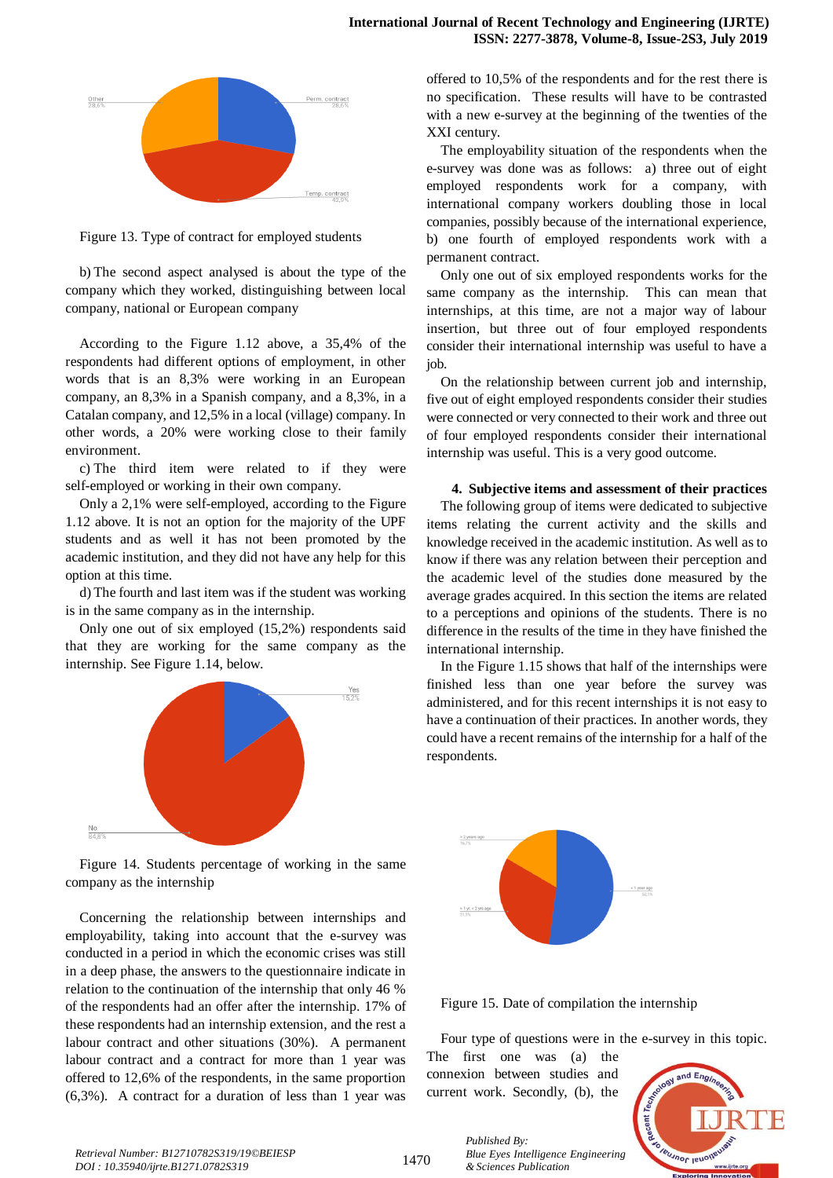

Figure 13. Type of contract for employed students

b) The second aspect analysed is about the type of the company which they worked, distinguishing between local company, national or European company

According to the Figure 1.12 above, a 35,4% of the respondents had different options of employment, in other words that is an 8,3% were working in an European company, an 8,3% in a Spanish company, and a 8,3%, in a Catalan company, and 12,5% in a local (village) company. In other words, a 20% were working close to their family environment.

c) The third item were related to if they were self-employed or working in their own company.

Only a 2,1% were self-employed, according to the Figure 1.12 above. It is not an option for the majority of the UPF students and as well it has not been promoted by the academic institution, and they did not have any help for this option at this time.

d) The fourth and last item was if the student was working is in the same company as in the internship.

Only one out of six employed (15,2%) respondents said that they are working for the same company as the internship. See Figure 1.14, below.



Figure 14. Students percentage of working in the same company as the internship

Concerning the relationship between internships and employability, taking into account that the e-survey was conducted in a period in which the economic crises was still in a deep phase, the answers to the questionnaire indicate in relation to the continuation of the internship that only 46 % of the respondents had an offer after the internship. 17% of these respondents had an internship extension, and the rest a labour contract and other situations (30%). A permanent labour contract and a contract for more than 1 year was offered to 12,6% of the respondents, in the same proportion (6,3%). A contract for a duration of less than 1 year was

offered to 10,5% of the respondents and for the rest there is no specification. These results will have to be contrasted with a new e-survey at the beginning of the twenties of the XXI century.

The employability situation of the respondents when the e-survey was done was as follows: a) three out of eight employed respondents work for a company, with international company workers doubling those in local companies, possibly because of the international experience, b) one fourth of employed respondents work with a permanent contract.

Only one out of six employed respondents works for the same company as the internship. This can mean that internships, at this time, are not a major way of labour insertion, but three out of four employed respondents consider their international internship was useful to have a job.

On the relationship between current job and internship, five out of eight employed respondents consider their studies were connected or very connected to their work and three out of four employed respondents consider their international internship was useful. This is a very good outcome.

#### **4. Subjective items and assessment of their practices**

The following group of items were dedicated to subjective items relating the current activity and the skills and knowledge received in the academic institution. As well as to know if there was any relation between their perception and the academic level of the studies done measured by the average grades acquired. In this section the items are related to a perceptions and opinions of the students. There is no difference in the results of the time in they have finished the international internship.

In the Figure 1.15 shows that half of the internships were finished less than one year before the survey was administered, and for this recent internships it is not easy to have a continuation of their practices. In another words, they could have a recent remains of the internship for a half of the respondents.



Figure 15. Date of compilation the internship

Four type of questions were in the e-survey in this topic.

The first one was (a) the connexion between studies and current work. Secondly, (b), the



*Retrieval Number: B12710782S319/19©BEIESP DOI : 10.35940/ijrte.B1271.0782S319*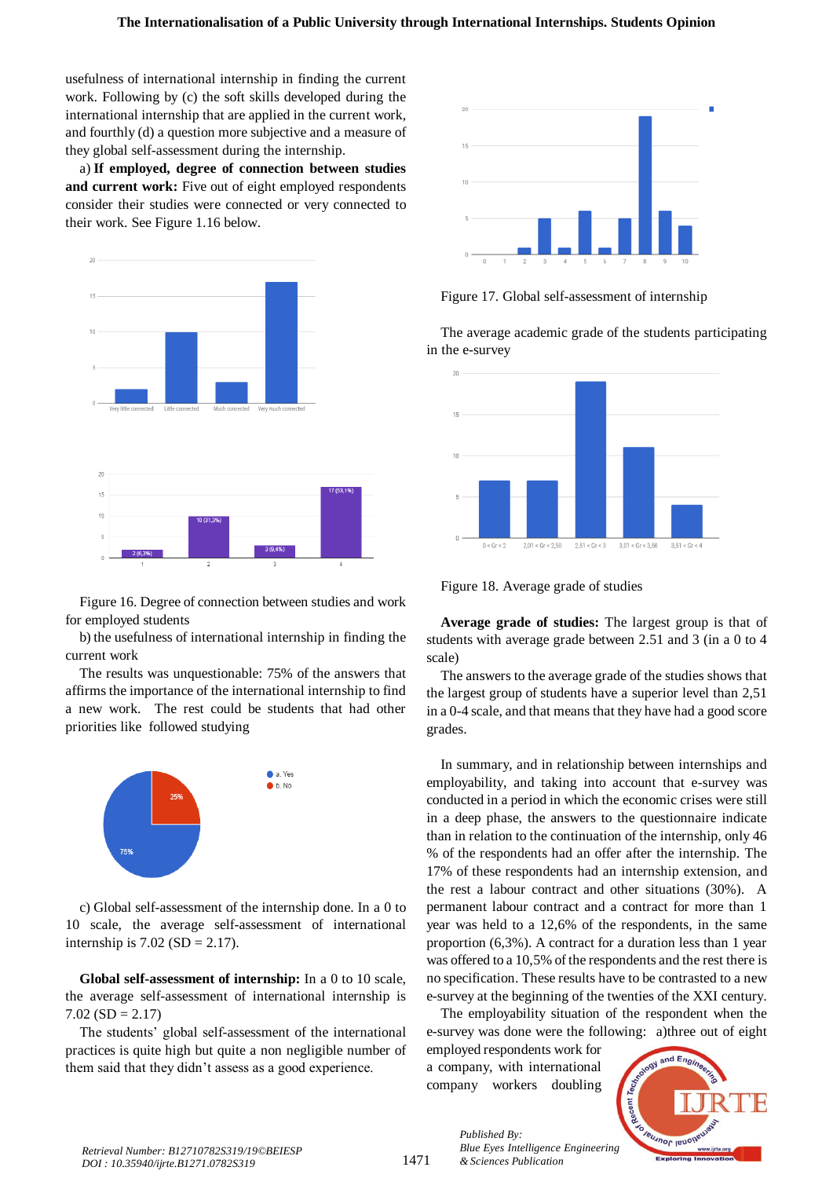usefulness of international internship in finding the current work. Following by (c) the soft skills developed during the international internship that are applied in the current work, and fourthly (d) a question more subjective and a measure of they global self-assessment during the internship.

a) **If employed, degree of connection between studies and current work:** Five out of eight employed respondents consider their studies were connected or very connected to their work. See Figure 1.16 below.



Figure 16. Degree of connection between studies and work for employed students

b) the usefulness of international internship in finding the current work

The results was unquestionable: 75% of the answers that affirms the importance of the international internship to find a new work. The rest could be students that had other priorities like followed studying

![](_page_7_Figure_7.jpeg)

c) Global self-assessment of the internship done. In a 0 to 10 scale, the average self-assessment of international internship is  $7.02$  (SD = 2.17).

**Global self-assessment of internship:** In a 0 to 10 scale, the average self-assessment of international internship is  $7.02$  (SD = 2.17)

The students' global self-assessment of the international practices is quite high but quite a non negligible number of them said that they didn't assess as a good experience.

![](_page_7_Figure_11.jpeg)

Figure 17. Global self-assessment of internship

The average academic grade of the students participating in the e-survey

![](_page_7_Figure_14.jpeg)

Figure 18. Average grade of studies

**Average grade of studies:** The largest group is that of students with average grade between 2.51 and 3 (in a 0 to 4 scale)

The answers to the average grade of the studies shows that the largest group of students have a superior level than 2,51 in a 0-4 scale, and that means that they have had a good score grades.

In summary, and in relationship between internships and employability, and taking into account that e-survey was conducted in a period in which the economic crises were still in a deep phase, the answers to the questionnaire indicate than in relation to the continuation of the internship, only 46 % of the respondents had an offer after the internship. The 17% of these respondents had an internship extension, and the rest a labour contract and other situations (30%). A permanent labour contract and a contract for more than 1 year was held to a 12,6% of the respondents, in the same proportion (6,3%). A contract for a duration less than 1 year was offered to a 10,5% of the respondents and the rest there is no specification. These results have to be contrasted to a new e-survey at the beginning of the twenties of the XXI century.

The employability situation of the respondent when the e-survey was done were the following: a)three out of eight

employed respondents work for a company, with international company workers doubling

*Published By:*

![](_page_7_Picture_21.jpeg)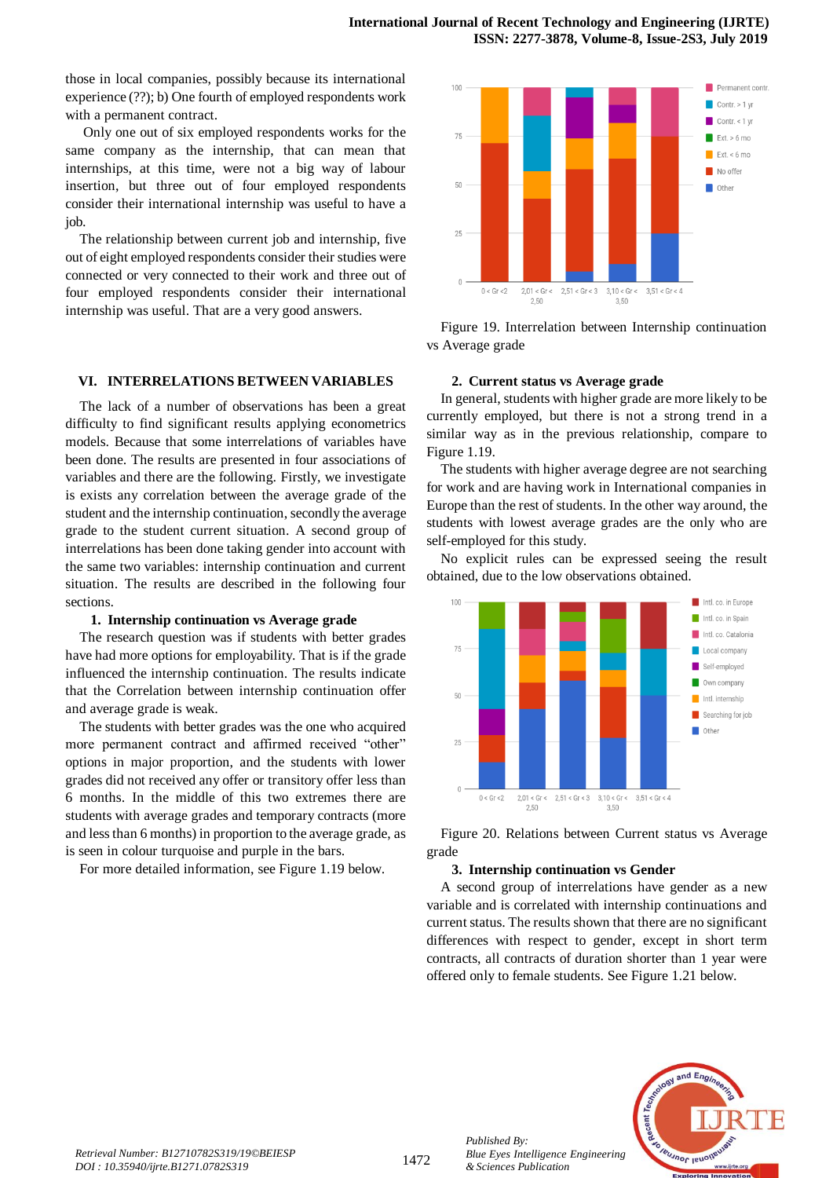those in local companies, possibly because its international experience (??); b) One fourth of employed respondents work with a permanent contract.

Only one out of six employed respondents works for the same company as the internship, that can mean that internships, at this time, were not a big way of labour insertion, but three out of four employed respondents consider their international internship was useful to have a job.

The relationship between current job and internship, five out of eight employed respondents consider their studies were connected or very connected to their work and three out of four employed respondents consider their international internship was useful. That are a very good answers.

## **VI. INTERRELATIONS BETWEEN VARIABLES**

The lack of a number of observations has been a great difficulty to find significant results applying econometrics models. Because that some interrelations of variables have been done. The results are presented in four associations of variables and there are the following. Firstly, we investigate is exists any correlation between the average grade of the student and the internship continuation, secondly the average grade to the student current situation. A second group of interrelations has been done taking gender into account with the same two variables: internship continuation and current situation. The results are described in the following four sections.

#### **1. Internship continuation vs Average grade**

The research question was if students with better grades have had more options for employability. That is if the grade influenced the internship continuation. The results indicate that the Correlation between internship continuation offer and average grade is weak.

The students with better grades was the one who acquired more permanent contract and affirmed received "other" options in major proportion, and the students with lower grades did not received any offer or transitory offer less than 6 months. In the middle of this two extremes there are students with average grades and temporary contracts (more and less than 6 months) in proportion to the average grade, as is seen in colour turquoise and purple in the bars.

For more detailed information, see Figure 1.19 below.

![](_page_8_Figure_10.jpeg)

Figure 19. Interrelation between Internship continuation vs Average grade

#### **2. Current status vs Average grade**

In general, students with higher grade are more likely to be currently employed, but there is not a strong trend in a similar way as in the previous relationship, compare to Figure 1.19.

The students with higher average degree are not searching for work and are having work in International companies in Europe than the rest of students. In the other way around, the students with lowest average grades are the only who are self-employed for this study.

No explicit rules can be expressed seeing the result obtained, due to the low observations obtained.

![](_page_8_Figure_16.jpeg)

Figure 20. Relations between Current status vs Average grade

#### **3. Internship continuation vs Gender**

A second group of interrelations have gender as a new variable and is correlated with internship continuations and current status. The results shown that there are no significant differences with respect to gender, except in short term contracts, all contracts of duration shorter than 1 year were offered only to female students. See Figure 1.21 below.

![](_page_8_Picture_20.jpeg)

*Published By:*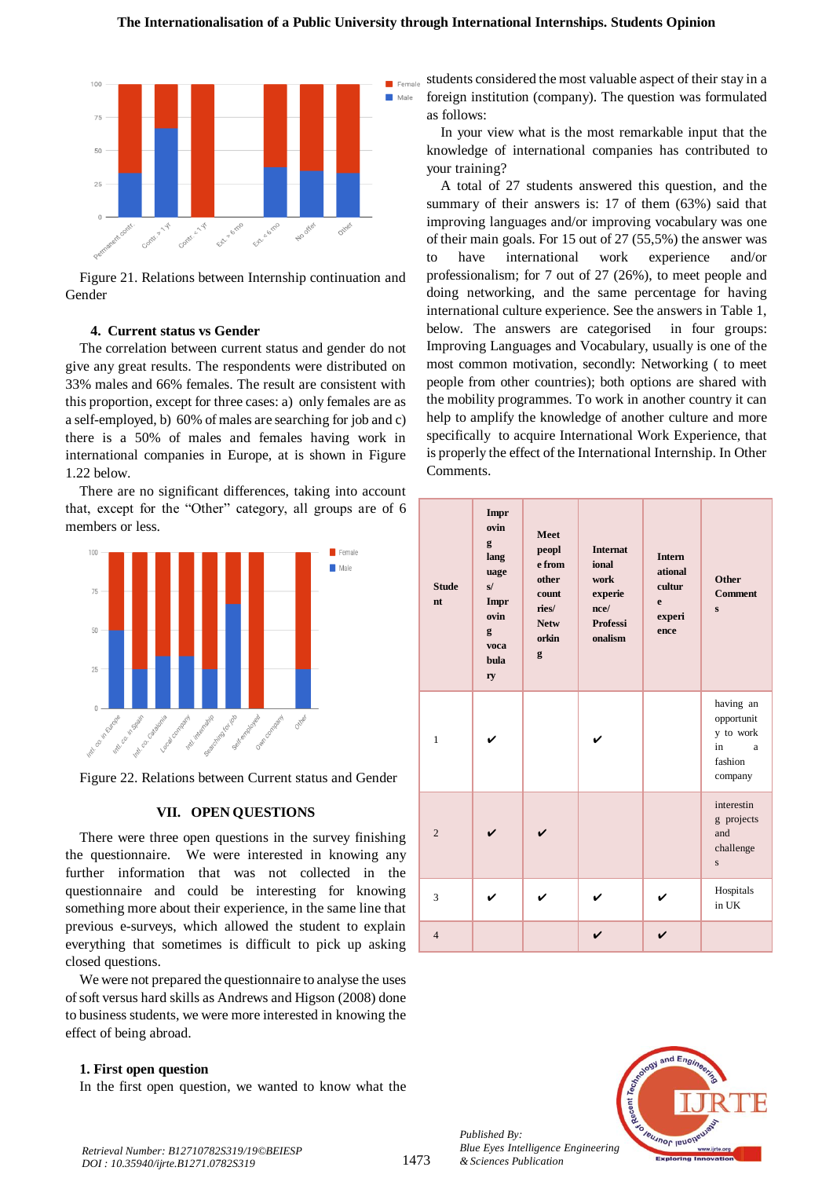![](_page_9_Figure_1.jpeg)

Figure 21. Relations between Internship continuation and Gender

# **4. Current status vs Gender**

The correlation between current status and gender do not give any great results. The respondents were distributed on 33% males and 66% females. The result are consistent with this proportion, except for three cases: a) only females are as a self-employed, b) 60% of males are searching for job and c) there is a 50% of males and females having work in international companies in Europe, at is shown in Figure 1.22 below.

There are no significant differences, taking into account that, except for the "Other" category, all groups are of 6 members or less.

![](_page_9_Figure_6.jpeg)

Figure 22. Relations between Current status and Gender

#### **VII. OPEN QUESTIONS**

There were three open questions in the survey finishing the questionnaire. We were interested in knowing any further information that was not collected in the questionnaire and could be interesting for knowing something more about their experience, in the same line that previous e-surveys, which allowed the student to explain everything that sometimes is difficult to pick up asking closed questions.

We were not prepared the questionnaire to analyse the uses of soft versus hard skills as Andrews and Higson (2008) done to business students, we were more interested in knowing the effect of being abroad.

#### **1. First open question**

In the first open question, we wanted to know what the

students considered the most valuable aspect of their stay in a foreign institution (company). The question was formulated as follows:

In your view what is the most remarkable input that the knowledge of international companies has contributed to your training?

A total of 27 students answered this question, and the summary of their answers is: 17 of them (63%) said that improving languages and/or improving vocabulary was one of their main goals. For 15 out of 27 (55,5%) the answer was to have international work experience and/or professionalism; for 7 out of 27 (26%), to meet people and doing networking, and the same percentage for having international culture experience. See the answers in Table 1, below. The answers are categorised in four groups: Improving Languages and Vocabulary, usually is one of the most common motivation, secondly: Networking ( to meet people from other countries); both options are shared with the mobility programmes. To work in another country it can help to amplify the knowledge of another culture and more specifically to acquire International Work Experience, that is properly the effect of the International Internship. In Other Comments.

| <b>Stude</b><br>$n_{\rm t}$ | Impr<br>ovin<br>g<br>lang<br>uage<br>s/<br>Impr<br>ovin<br>g<br>voca<br>bula<br>ry | Meet<br>peopl<br>e from<br>other<br>count<br>ries/<br><b>Netw</b><br>orkin<br>g | <b>Internat</b><br>ional<br>work<br>experie<br>nce/<br><b>Professi</b><br>onalism | <b>Intern</b><br>ational<br>cultur<br>e<br>experi<br>ence | <b>Other</b><br><b>Comment</b><br>$\mathbf{s}$                        |
|-----------------------------|------------------------------------------------------------------------------------|---------------------------------------------------------------------------------|-----------------------------------------------------------------------------------|-----------------------------------------------------------|-----------------------------------------------------------------------|
| $\mathbf{1}$                | ✓                                                                                  |                                                                                 |                                                                                   |                                                           | having an<br>opportunit<br>y to work<br>in<br>a<br>fashion<br>company |
| $\overline{2}$              |                                                                                    |                                                                                 |                                                                                   |                                                           | interestin<br>g projects<br>and<br>challenge<br>$\mathbf S$           |
| 3                           |                                                                                    |                                                                                 |                                                                                   | ✓                                                         | Hospitals<br>in UK                                                    |
| $\overline{4}$              |                                                                                    |                                                                                 |                                                                                   |                                                           |                                                                       |

![](_page_9_Picture_17.jpeg)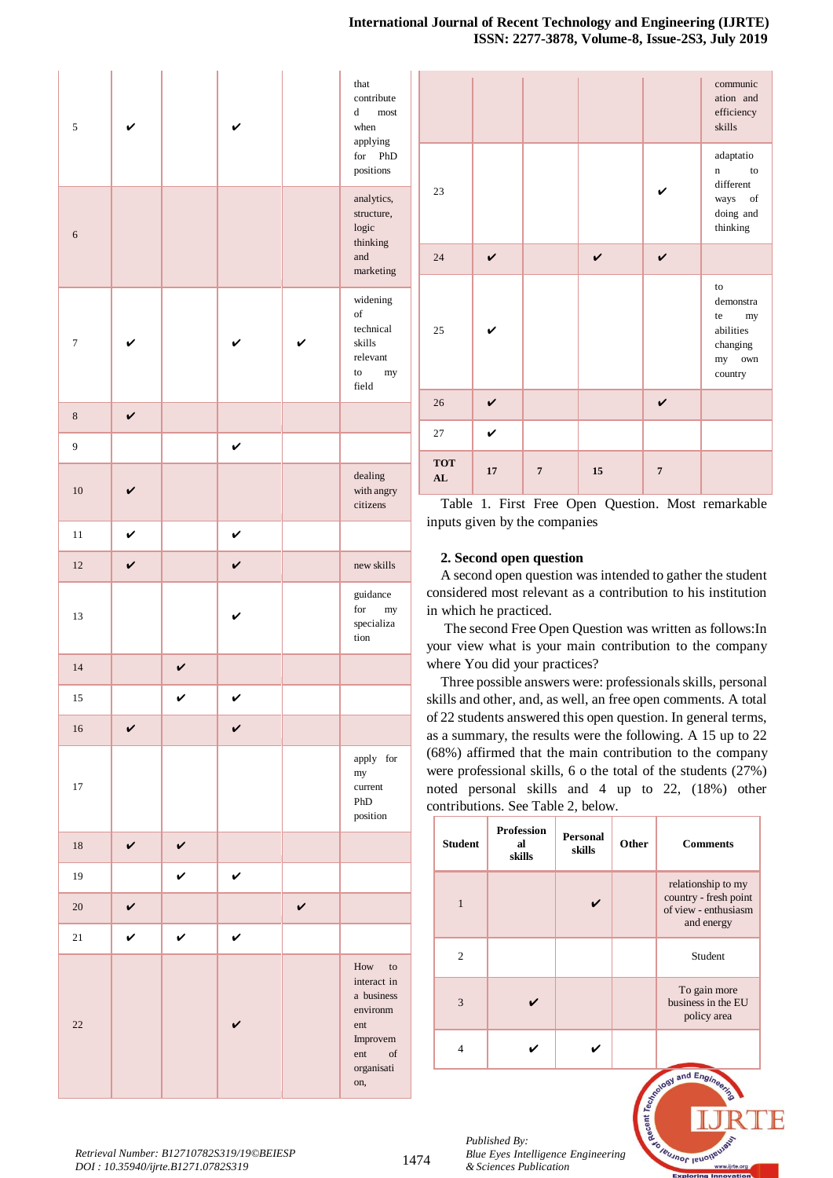| 5              |              |              |              |              | that<br>contribute<br>d<br>most<br>when<br>applying<br>for<br>${\tt PhD}$<br>positions                                                                                                                  |
|----------------|--------------|--------------|--------------|--------------|---------------------------------------------------------------------------------------------------------------------------------------------------------------------------------------------------------|
| 6              |              |              |              |              | analytics,<br>structure,<br>logic<br>thinking<br>and<br>marketing                                                                                                                                       |
| $\overline{7}$ |              |              |              |              | widening<br>of<br>technical<br>skills<br>relevant<br>to<br>${\rm my}$<br>field                                                                                                                          |
| $\,8\,$        | $\checkmark$ |              |              |              |                                                                                                                                                                                                         |
| 9              |              |              | V            |              |                                                                                                                                                                                                         |
| 10             | V            |              |              |              | dealing<br>with angry<br>citizens                                                                                                                                                                       |
| 11             | $\checkmark$ |              | V            |              |                                                                                                                                                                                                         |
| 12             | V            |              | V            |              | new skills                                                                                                                                                                                              |
| 13             |              |              | V            |              | guidance<br>for<br>my<br>specializa<br>tion                                                                                                                                                             |
| 14             |              | $\checkmark$ |              |              |                                                                                                                                                                                                         |
| 15             |              | V            | V            |              |                                                                                                                                                                                                         |
| 16             | $\checkmark$ |              | $\checkmark$ |              |                                                                                                                                                                                                         |
| 17             |              |              |              |              | apply for<br>my<br>current<br>PhD<br>position                                                                                                                                                           |
| $18\,$         | $\checkmark$ | V            |              |              |                                                                                                                                                                                                         |
| 19             |              | V            | V            |              |                                                                                                                                                                                                         |
| 20             | V            |              |              | $\checkmark$ |                                                                                                                                                                                                         |
| 21             | $\checkmark$ | $\checkmark$ | V            |              |                                                                                                                                                                                                         |
| $22\,$         |              |              |              |              | How<br>to<br>interact in<br>a business<br>environm<br>ent<br>Improvem<br>ent<br>$% \left( \left( \mathcal{A},\mathcal{A}\right) \right) =\left( \mathcal{A},\mathcal{A}\right)$ of<br>organisati<br>on, |

|                  |             |                |                    |                | communic<br>ation and<br>efficiency<br>skills                          |
|------------------|-------------|----------------|--------------------|----------------|------------------------------------------------------------------------|
| 23               |             |                |                    |                | adaptatio<br>to<br>n<br>different<br>ways of<br>doing and<br>thinking  |
| 24               | $\mathbf v$ |                | $\boldsymbol{\nu}$ | $\mathbf v$    |                                                                        |
| 25               |             |                |                    |                | to<br>demonstra<br>te my<br>abilities<br>changing<br>my own<br>country |
| 26               | $\mathbf v$ |                |                    | $\checkmark$   |                                                                        |
| 27               | V           |                |                    |                |                                                                        |
| <b>TOT</b><br>AL | 17          | $\overline{7}$ | 15                 | $\overline{7}$ |                                                                        |

Table 1. First Free Open Question. Most remarkable inputs given by the companies

# **2. Second open question**

A second open question was intended to gather the student considered most relevant as a contribution to his institution in which he practiced.

The second Free Open Question was written as follows:In your view what is your main contribution to the company where You did your practices?

Three possible answers were: professionals skills, personal skills and other, and, as well, an free open comments. A total of 22 students answered this open question. In general terms, as a summary, the results were the following. A 15 up to 22 (68%) affirmed that the main contribution to the company were professional skills, 6 o the total of the students (27%) noted personal skills and 4 up to 22, (18%) other contributions. See Table 2, below.

| <b>Student</b> | <b>Profession</b><br>al<br>skills | Personal<br>skills | Other | <b>Comments</b>                                                                   |
|----------------|-----------------------------------|--------------------|-------|-----------------------------------------------------------------------------------|
| 1              |                                   | ✓                  |       | relationship to my<br>country - fresh point<br>of view - enthusiasm<br>and energy |
| $\overline{c}$ |                                   |                    |       | Student                                                                           |
| 3              |                                   |                    |       | To gain more<br>business in the EU<br>policy area                                 |
|                |                                   |                    |       |                                                                                   |

and  $E_{nq}$ 

**Jeusnor Jeuoly** 

aecent Tec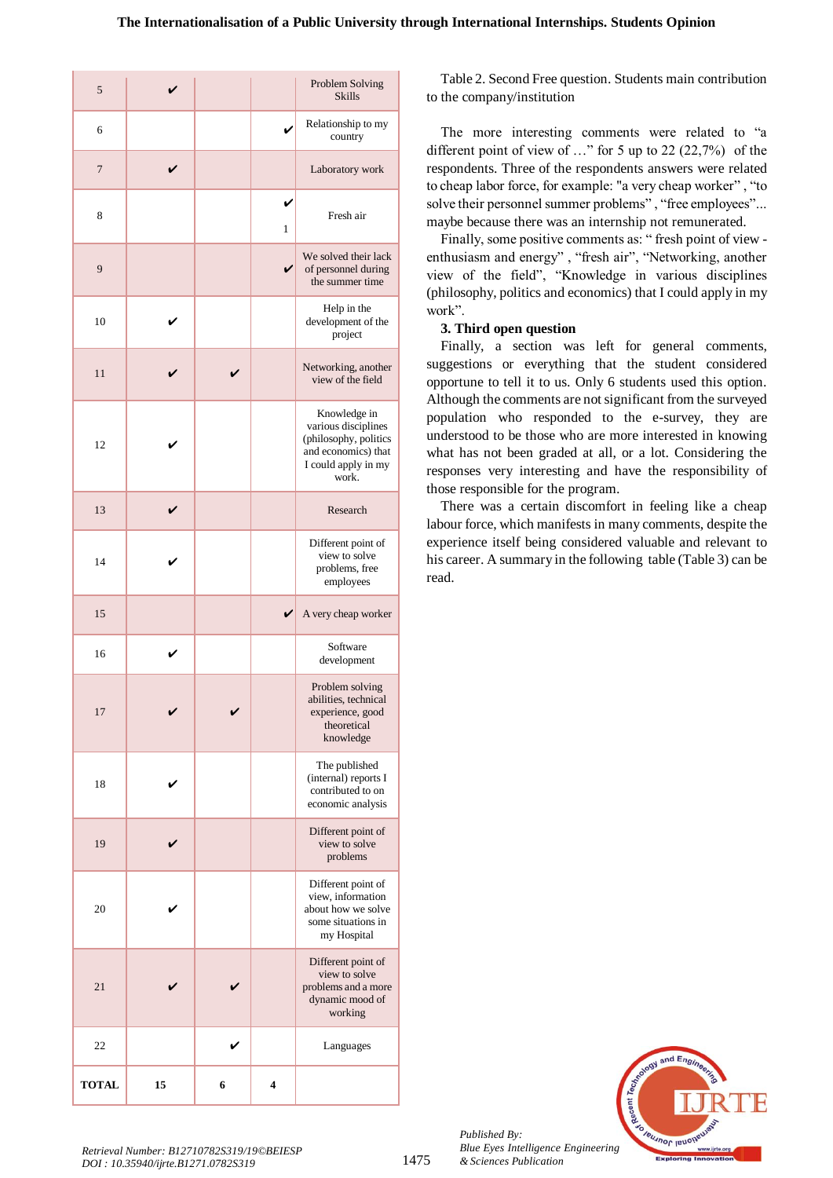| 5            |    |   |        | Problem Solving<br><b>Skills</b>                                                                                    |
|--------------|----|---|--------|---------------------------------------------------------------------------------------------------------------------|
| 6            |    |   |        | Relationship to my<br>country                                                                                       |
| 7            | V  |   |        | Laboratory work                                                                                                     |
| 8            |    |   | ✔<br>1 | Fresh air                                                                                                           |
| 9            |    |   | ✓      | We solved their lack<br>of personnel during<br>the summer time                                                      |
| 10           |    |   |        | Help in the<br>development of the<br>project                                                                        |
| 11           |    |   |        | Networking, another<br>view of the field                                                                            |
| 12           |    |   |        | Knowledge in<br>various disciplines<br>(philosophy, politics<br>and economics) that<br>I could apply in my<br>work. |
| 13           |    |   |        | Research                                                                                                            |
| 14           |    |   |        | Different point of<br>view to solve<br>problems, free<br>employees                                                  |
| 15           |    |   | V      | A very cheap worker                                                                                                 |
| 16           | V  |   |        | Software<br>development                                                                                             |
| 17           |    |   |        | Problem solving<br>abilities, technical<br>experience, good<br>theoretical<br>knowledge                             |
| 18           |    |   |        | The published<br>(internal) reports I<br>contributed to on<br>economic analysis                                     |
| 19           |    |   |        | Different point of<br>view to solve<br>problems                                                                     |
| 20           |    |   |        | Different point of<br>view, information<br>about how we solve<br>some situations in<br>my Hospital                  |
| 21           |    |   |        | Different point of<br>view to solve<br>problems and a more<br>dynamic mood of<br>working                            |
| 22           |    |   |        | Languages                                                                                                           |
| <b>TOTAL</b> | 15 | 6 | 4      |                                                                                                                     |

Table 2. Second Free question. Students main contribution to the company/institution

The more interesting comments were related to "a different point of view of …" for 5 up to 22 (22,7%) of the respondents. Three of the respondents answers were related to cheap labor force, for example: "a very cheap worker" , "to solve their personnel summer problems", "free employees"... maybe because there was an internship not remunerated.

Finally, some positive comments as: " fresh point of view enthusiasm and energy" , "fresh air", "Networking, another view of the field", "Knowledge in various disciplines (philosophy, politics and economics) that I could apply in my work".

# **3. Third open question**

Finally, a section was left for general comments, suggestions or everything that the student considered opportune to tell it to us. Only 6 students used this option. Although the comments are not significant from the surveyed population who responded to the e-survey, they are understood to be those who are more interested in knowing what has not been graded at all, or a lot. Considering the responses very interesting and have the responsibility of those responsible for the program.

There was a certain discomfort in feeling like a cheap labour force, which manifests in many comments, despite the experience itself being considered valuable and relevant to his career. A summary in the following table (Table 3) can be read.

![](_page_11_Picture_8.jpeg)

*Published By:*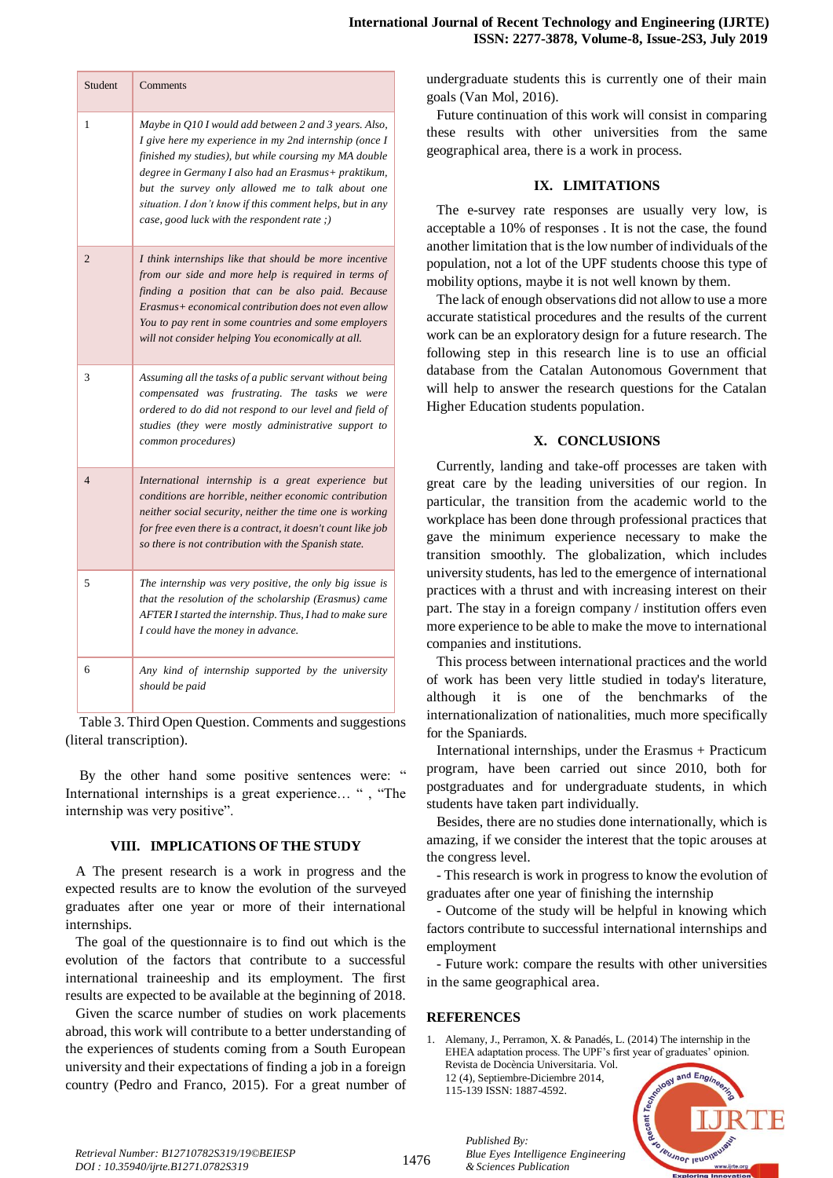| <b>Student</b> | Comments                                                                                                                                                                                                                                                                                                                                                                                       |
|----------------|------------------------------------------------------------------------------------------------------------------------------------------------------------------------------------------------------------------------------------------------------------------------------------------------------------------------------------------------------------------------------------------------|
| 1              | Maybe in O10 I would add between 2 and 3 years. Also,<br>I give here my experience in my 2nd internship (once I<br>finished my studies), but while coursing my MA double<br>degree in Germany I also had an Erasmus+ praktikum,<br>but the survey only allowed me to talk about one<br>situation. I don't know if this comment helps, but in any<br>case, good luck with the respondent rate;) |
| $\overline{2}$ | I think internships like that should be more incentive<br>from our side and more help is required in terms of<br>finding a position that can be also paid. Because<br>Erasmus+ economical contribution does not even allow<br>You to pay rent in some countries and some employers<br>will not consider helping You economically at all.                                                       |
| 3              | Assuming all the tasks of a public servant without being<br>compensated was frustrating. The tasks we were<br>ordered to do did not respond to our level and field of<br>studies (they were mostly administrative support to<br>common procedures)                                                                                                                                             |
| $\overline{4}$ | International internship is a great experience but<br>conditions are horrible, neither economic contribution<br>neither social security, neither the time one is working<br>for free even there is a contract, it doesn't count like job<br>so there is not contribution with the Spanish state.                                                                                               |
| 5              | The internship was very positive, the only big issue is<br>that the resolution of the scholarship (Erasmus) came<br>AFTER I started the internship. Thus, I had to make sure<br>I could have the money in advance.                                                                                                                                                                             |
| 6              | Any kind of internship supported by the university<br>should be paid                                                                                                                                                                                                                                                                                                                           |

Table 3. Third Open Question. Comments and suggestions (literal transcription).

By the other hand some positive sentences were: " International internships is a great experience… " , "The internship was very positive".

# **VIII. IMPLICATIONS OF THE STUDY**

A The present research is a work in progress and the expected results are to know the evolution of the surveyed graduates after one year or more of their international internships.

The goal of the questionnaire is to find out which is the evolution of the factors that contribute to a successful international traineeship and its employment. The first results are expected to be available at the beginning of 2018.

Given the scarce number of studies on work placements abroad, this work will contribute to a better understanding of the experiences of students coming from a South European university and their expectations of finding a job in a foreign country (Pedro and Franco, 2015). For a great number of undergraduate students this is currently one of their main goals (Van Mol, 2016).

Future continuation of this work will consist in comparing these results with other universities from the same geographical area, there is a work in process.

# **IX. LIMITATIONS**

The e-survey rate responses are usually very low, is acceptable a 10% of responses . It is not the case, the found another limitation that is the low number of individuals of the population, not a lot of the UPF students choose this type of mobility options, maybe it is not well known by them.

The lack of enough observations did not allow to use a more accurate statistical procedures and the results of the current work can be an exploratory design for a future research. The following step in this research line is to use an official database from the Catalan Autonomous Government that will help to answer the research questions for the Catalan Higher Education students population.

# **X. CONCLUSIONS**

Currently, landing and take-off processes are taken with great care by the leading universities of our region. In particular, the transition from the academic world to the workplace has been done through professional practices that gave the minimum experience necessary to make the transition smoothly. The globalization, which includes university students, has led to the emergence of international practices with a thrust and with increasing interest on their part. The stay in a foreign company / institution offers even more experience to be able to make the move to international companies and institutions.

This process between international practices and the world of work has been very little studied in today's literature, although it is one of the benchmarks of the internationalization of nationalities, much more specifically for the Spaniards.

International internships, under the Erasmus + Practicum program, have been carried out since 2010, both for postgraduates and for undergraduate students, in which students have taken part individually.

Besides, there are no studies done internationally, which is amazing, if we consider the interest that the topic arouses at the congress level.

- This research is work in progress to know the evolution of graduates after one year of finishing the internship

- Outcome of the study will be helpful in knowing which factors contribute to successful international internships and employment

- Future work: compare the results with other universities in the same geographical area.

#### **REFERENCES**

*Published By:*

115-139 ISSN: 1887-4592.

*& Sciences Publication* 

*Blue Eyes Intelligence Engineering* 

1. Alemany, J., Perramon, X. & Panadés, L. (2014) The internship in the EHEA adaptation process. The UPF's first year of graduates' opinion. Revista de Docència Universitaria. Vol. 12 (4), Septiembre-Diciembre 2014,

**IBUJNOF IBUON**